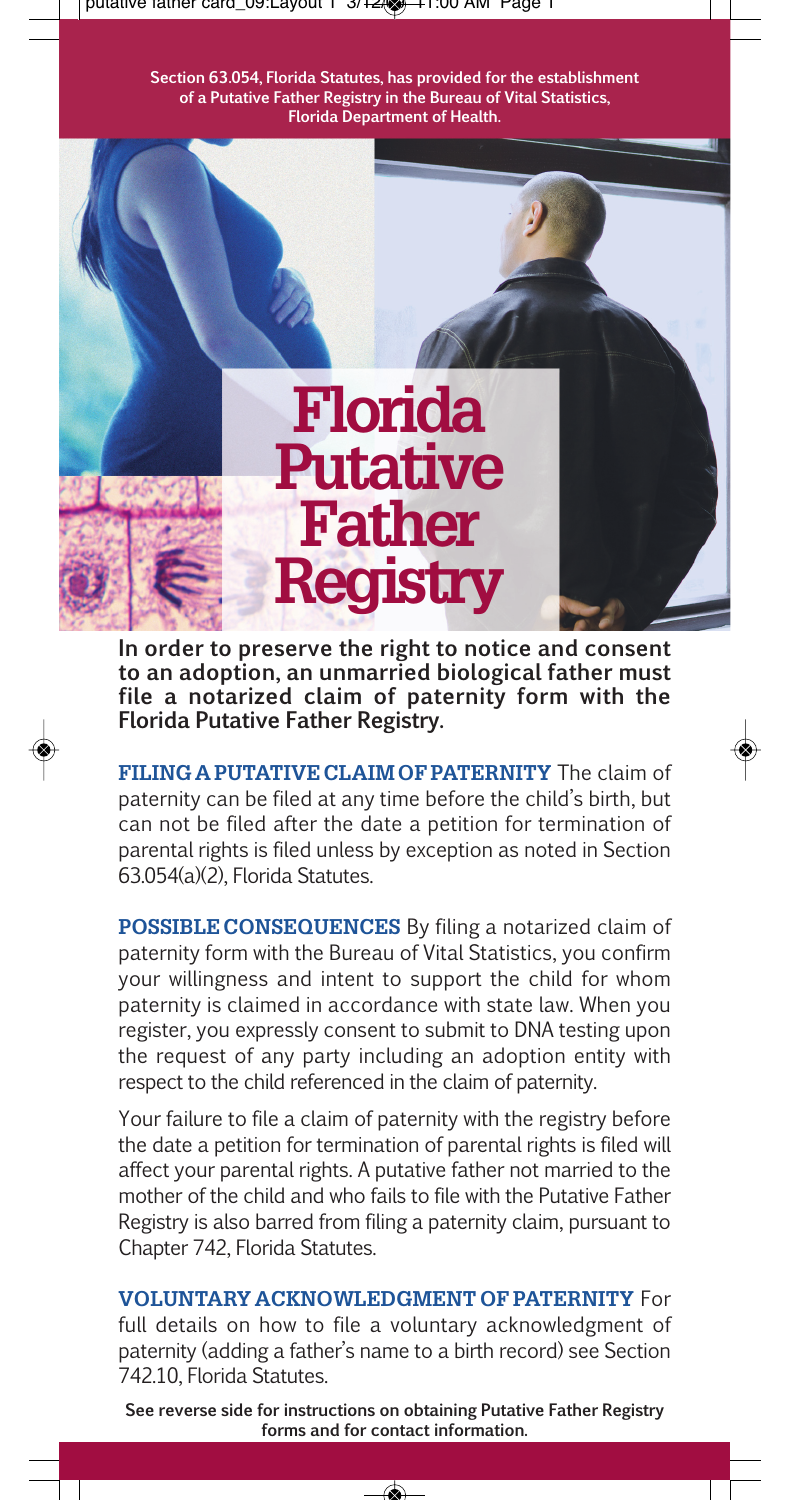putative father card\_09:Layout 1 3/<del>12/@0 1</del>1:00 AM Page 1

**Section 63.054, Florida Statutes, has provided for the establishment of a Putative Father Registry in the Bureau of Vital Statistics, Florida Department of Health.** 



**In order to preserve the right to notice and consent to an adoption, an unmarried biological father must file a notarized claim of paternity form with the Florida Putative Father Registry.** 

**FILING A PUTATIVE CLAIM OF PATERNITY** The claim of paternity can be filed at any time before the child's birth, but can not be filed after the date a petition for termination of parental rights is filed unless by exception as noted in Section 63.054(a)(2), Florida Statutes.

**POSSIBLE CONSEQUENCES** By filing a notarized claim of paternity form with the Bureau of Vital Statistics, you confirm your willingness and intent to support the child for whom paternity is claimed in accordance with state law. When you register, you expressly consent to submit to DNA testing upon the request of any party including an adoption entity with respect to the child referenced in the claim of paternity.

Your failure to file a claim of paternity with the registry before the date a petition for termination of parental rights is filed will affect your parental rights. A putative father not married to the mother of the child and who fails to file with the Putative Father Registry is also barred from filing a paternity claim, pursuant to Chapter 742, Florida Statutes.

## **VOLUNTARY ACKNOWLEDGMENT OF PATERNITY** For

full details on how to file a voluntary acknowledgment of paternity (adding a father's name to a birth record) see Section 742.10, Florida Statutes.

**See reverse side for instructions on obtaining Putative Father Registry forms and for contact information.** 

⋒